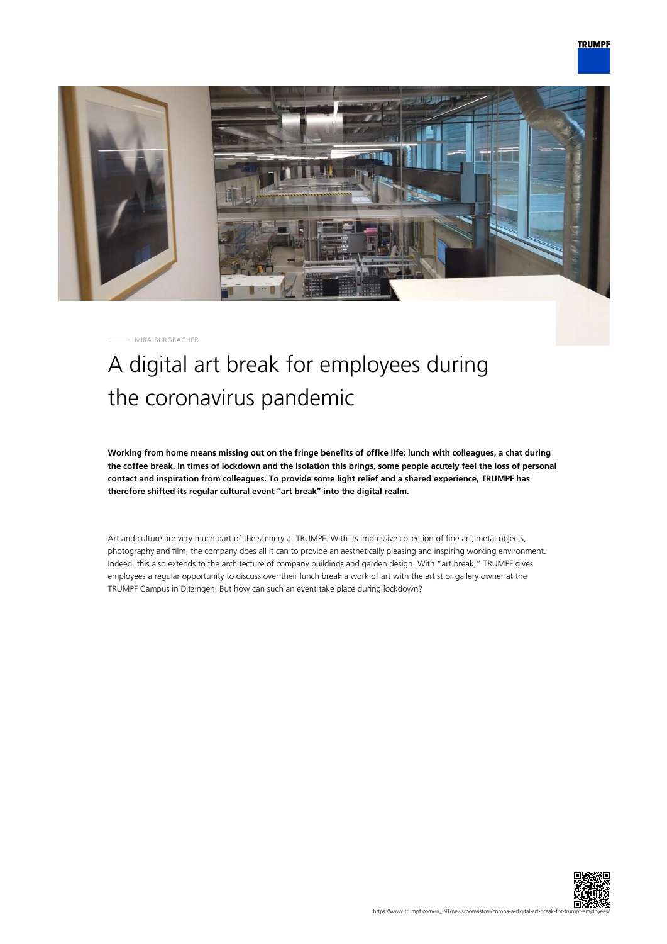

MIRA BURGBACHER

## A digital art break for employees during the coronavirus pandemic

**Working from home means missing out on the fringe benefits of office life: lunch with colleagues, a chat during the coffee break. In times of lockdown and the isolation this brings, some people acutely feel the loss of personal contact and inspiration from colleagues. To provide some light relief and a shared experience, TRUMPF has therefore shifted its regular cultural event "art break" into the digital realm.**

Art and culture are very much part of the scenery at TRUMPF. With its impressive collection of fine art, metal objects, photography and film, the company does all it can to provide an aesthetically pleasing and inspiring working environment. Indeed, this also extends to the architecture of company buildings and garden design. With "art break," TRUMPF gives employees a regular opportunity to discuss over their lunch break a work of art with the artist or gallery owner at the TRUMPF Campus in Ditzingen. But how can such an event take place during lockdown?